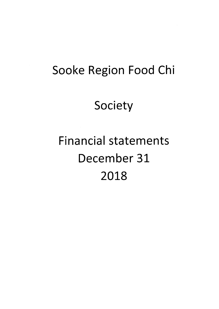# Sooke Region Food Chi

# Society

# **Financial statements** December 31 2018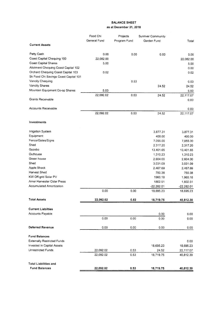## BALANCE SHEET as at December 31, 2018

|                                       | Food Chi     | Projects     | <b>Sunriver Community</b> |              |
|---------------------------------------|--------------|--------------|---------------------------|--------------|
|                                       | General Fund | Program Fund | Garden Fund               | Total        |
| <b>Current Assets</b>                 |              |              |                           |              |
| Petty Cash                            | 0.00         | 0.00         | 0.00                      | 0.00         |
| Coast Capital Chequing 100            | 22,082.00    |              |                           | 22,082.00    |
| Coast Capital Shares                  | 5.00         |              |                           | 5.00         |
| Allotment Chequing Coast Capital 102  |              |              |                           | 0.00         |
| Orchard Chequing Coast Capital 103    | 0.02         |              |                           | 0.02         |
| Sk Food Chi Savings Coast Capital 101 |              |              |                           |              |
| Vancity Chequing                      |              | 0.53         |                           | 0.53         |
| Vancity Shares                        |              |              | 24.52                     | 24.52        |
| Mountain Equipment Co-op Shares       | 5.00         |              |                           | 5.00         |
|                                       | 22,092.02    | 0.53         | 24.52                     | 22,117.07    |
| Grants Receivable                     |              |              |                           | 0.00         |
| <b>Accounts Receivable</b>            |              |              |                           | 0.00         |
|                                       | 22,092.02    | 0.53         | 24.52                     | 22,117.07    |
| Investments                           |              |              |                           |              |
| Irrigation System                     |              |              | 3.877.31                  | 3,877.31     |
| Equipment                             |              |              | 400.00                    | 400.00       |
| Fence/Gates/Signs                     |              |              | 7,055.00                  | 7,055.00     |
| Shed                                  |              |              | 2,317.20                  | 2,317.20     |
| Gazebo                                |              |              | 13,401.65                 | 13,401.65    |
| Outhouse                              |              |              | 1,310.23                  | 1,310.23     |
| Green house                           |              |              | 2,604.00                  | 2,604.00     |
| Shed                                  |              |              | 3,031.09                  | 3,031.09     |
| Apple Shack                           |              |              | 2,467.69                  | 2,467.69     |
| Harvest Shed                          |              |              | 750.38                    | 750.38       |
| KW Off-grid Solar PV                  |              |              | 1960.18                   | 1,960.18     |
| Amer Harvester Cider Press            |              |              | 1802.51                   | 1,802.51     |
| <b>Accumulated Amortization</b>       |              |              | $-22,282.01$              | $-22,282.01$ |
|                                       | 0.00         | 0.00         | 18,695.23                 | 18,695.23    |
| <b>Total Assets</b>                   | 22,092.02    | 0.53         | 18,719.75                 | 40,812.30    |
| <b>Current Liabilties</b>             |              |              |                           |              |
| Accounts Payable                      |              |              | 0.00                      | 0.00         |
|                                       | 0.00         | 0.00         | 0.00                      | 0.00         |
| <b>Deferred Revenue</b>               | 0.00         | 0.00         | 0.00                      | 0.00         |
| <b>Fund Balances</b>                  |              |              |                           |              |
| <b>Externally Restricted Funds</b>    |              |              |                           | 0.00         |
| Invested in Capital Assets            |              |              | 18,695.23                 | 18,695.23    |
| Unrestricted Funds                    | 22,092.02    | 0.53         | 24.52                     | 22,117.07    |
|                                       | 22,092.02    | 0.53         | 18,719.75                 | 40,812.30    |
| <b>Total Liabilities and</b>          |              |              |                           |              |
| <b>Fund Balances</b>                  | 22,092.02    | 0.53         | 18,719.75                 | 40,812.30    |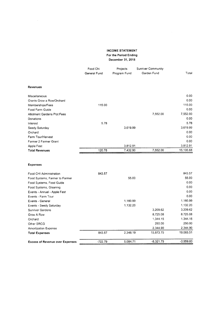### INGOME STATEMENT For the Period Ending December 31,2018

|                                                 | Food Chi<br>General Fund | Projects<br>Program Fund | <b>Sunriver Community</b><br>Garden Fund | Total            |
|-------------------------------------------------|--------------------------|--------------------------|------------------------------------------|------------------|
| Revenues                                        |                          |                          |                                          |                  |
| Miscellaneous                                   |                          |                          |                                          | 0.00             |
| Grants Grow a Row/Orchard                       |                          |                          |                                          | 0.00             |
| Memberships/Fees                                | 115.00                   |                          |                                          | 115.00           |
| Food Farm Guide                                 |                          |                          |                                          | 0.00             |
| <b>Allotment Gardens Plot Fees</b><br>Donations |                          |                          | 7,552.00                                 | 7,552.00<br>0.00 |
| Interest                                        | 5.78                     |                          |                                          | 5.78             |
| Seedy Saturday                                  |                          | 3,619.99                 |                                          | 3,619.99         |
| Orchard                                         |                          |                          |                                          | 0.00             |
| Farm Tour/Harvest                               |                          |                          |                                          | 0.00             |
| Farmer 2 Farmer Grant                           |                          |                          |                                          | 0.00             |
| Apple Fest                                      |                          | 3,812.91                 |                                          | 3,812.91         |
| <b>Total Revenues</b>                           | 120.78                   | 7,432.90                 | 7,552.00                                 | 15,105.68        |
| <b>Expenses</b>                                 |                          |                          |                                          |                  |
| Food CHI Administration                         | 843.57                   |                          |                                          | 843.57           |
| Food Systems, Farmer to Farmer                  |                          | 55.00                    |                                          | 55.00            |
| Food Systems, Food Guide                        |                          |                          |                                          | 0.00             |
| Food Systems, Gleaning                          |                          |                          |                                          | 0.00             |
| Events - Annual - Apple Fest                    |                          |                          |                                          | 0.00             |
| Events - Farm Tour                              |                          |                          |                                          | 0.00             |
| Events - General                                |                          | 1,160.99                 |                                          | 1,160.99         |
| Events - Seedy Saturday                         |                          | 1.132.20                 |                                          | 1,132.20         |
| <b>Sunriver Gardens</b>                         |                          |                          | 3.209.62                                 | 3,209.62         |
| Grow A Row                                      |                          |                          | 8,725.08                                 | 8,725.08         |
| Orchard                                         |                          |                          | 1,344.15                                 | 1,344.15         |
| Other SRCG                                      |                          |                          | 250.00                                   | 250.00           |
| <b>Amortization Expense</b>                     |                          |                          | 2,344.90                                 | 2,344.90         |
| <b>Total Expenses</b>                           | 843.57                   | 2,348.19                 | 15,873.75                                | 19,065.51        |
| <b>Excess of Revenue over Expenses</b>          | $-722.79$                | 5,084.71                 | $-8,321.75$                              | $-3,959.83$      |